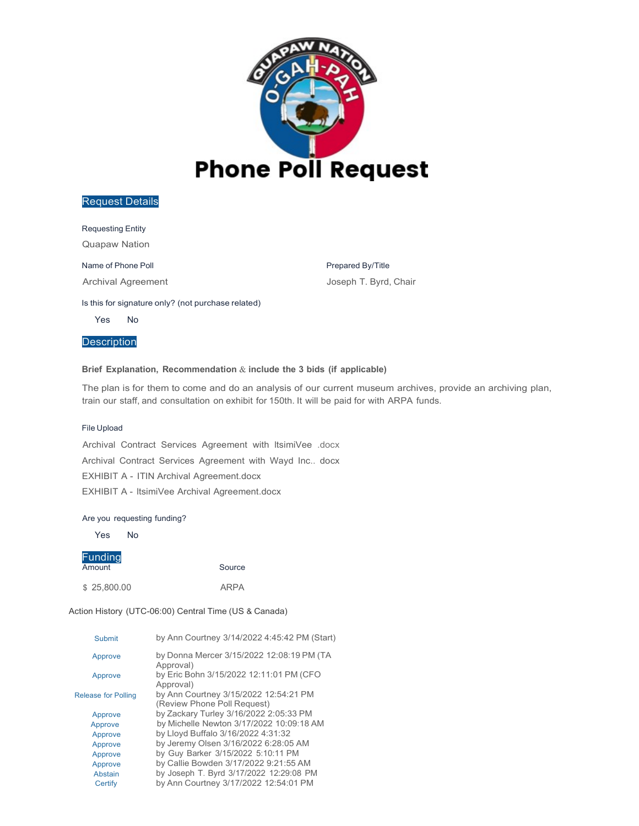

Requesting Entity

Quapaw Nation

Name of Phone Poll

Archival Agreement

Prepared By/Title Joseph T. Byrd, Chair

#### Is this for signature only? (not purchase related)

Yes No

**Description** 

#### **Brief Explanation, Recommendation** & **include the 3 bids (if applicable)**

The plan is for them to come and do an analysis of our current museum archives, provide an archiving plan, train our staff, and consultation on exhibit for 150th. It will be paid for with ARPA funds.

#### File Upload

Archival Contract Services Agreement with ltsimiVee .docx Archival Contract Services Agreement with Wayd Inc.. docx EXHIBIT A - ITIN Archival Agreement.docx EXHIBIT A - ltsimiVee Archival Agreement.docx

#### Are you requesting funding?

Yes No

# Funding

**Amount** Source

\$ 25,800.00 ARPA

| by Ann Courtney 3/14/2022 4:45:42 PM (Start)                         |
|----------------------------------------------------------------------|
| by Donna Mercer 3/15/2022 12:08:19 PM (TA<br>Approval)               |
| by Eric Bohn 3/15/2022 12:11:01 PM (CFO<br>Approval)                 |
| by Ann Courtney 3/15/2022 12:54:21 PM<br>(Review Phone Poll Request) |
| by Zackary Turley 3/16/2022 2:05:33 PM                               |
| by Michelle Newton 3/17/2022 10:09:18 AM                             |
| by Lloyd Buffalo 3/16/2022 4:31:32                                   |
| by Jeremy Olsen 3/16/2022 6:28:05 AM                                 |
| by Guy Barker 3/15/2022 5:10:11 PM                                   |
| by Callie Bowden 3/17/2022 9:21:55 AM                                |
| by Joseph T. Byrd 3/17/2022 12:29:08 PM                              |
| by Ann Courtney 3/17/2022 12:54:01 PM                                |
|                                                                      |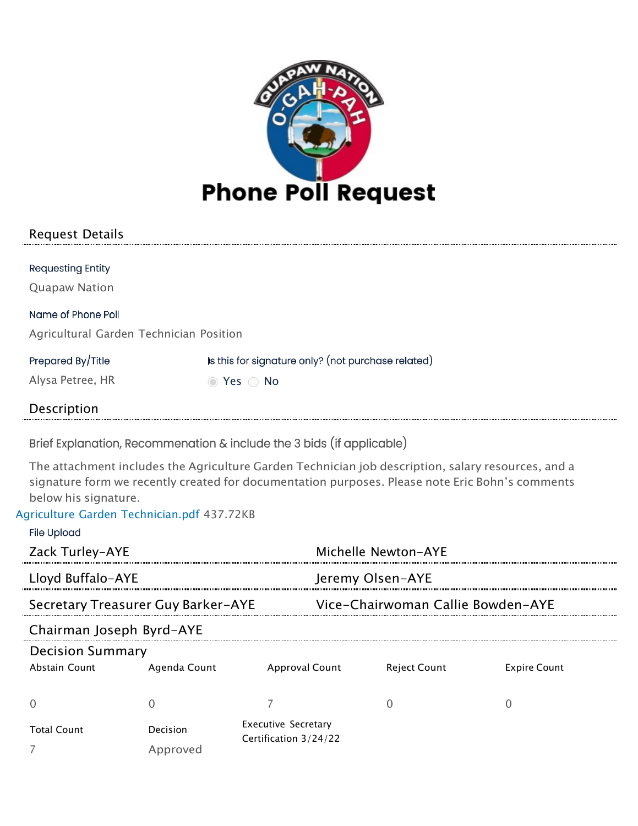

| <b>Requesting Entity</b>                |                                                    |
|-----------------------------------------|----------------------------------------------------|
| <b>Quapaw Nation</b>                    |                                                    |
| Name of Phone Poll                      |                                                    |
| Agricultural Garden Technician Position |                                                    |
| Prepared By/Title                       | is this for signature only? (not purchase related) |
| Alysa Petree, HR                        | ◯ Yes ◯ No                                         |
| Description                             |                                                    |

Brief Explanation, Recommenation & include the 3 bids (if applicable)

The attachment includes the Agriculture Garden Technician job description, salary resources, and a signature form we recently created for documentation purposes. Please note Eric Bohn's comments below his signature.

# Agriculture Garden [Technician.pdf](https://okika.quapawnation.com/Forms/handlers/downloadattachment.ashx?req=DownLoad&aid=6396&authkey=ac5139b3-e56b-4f8f-aec7-9b963cb7c222) 437.72KB

| <b>File Upload</b>       |                                    |                            |                                   |                     |
|--------------------------|------------------------------------|----------------------------|-----------------------------------|---------------------|
| Zack Turley-AYE          |                                    |                            | Michelle Newton-AYE               |                     |
| Lloyd Buffalo-AYE        |                                    |                            | Jeremy Olsen-AYE                  |                     |
|                          | Secretary Treasurer Guy Barker-AYE |                            | Vice-Chairwoman Callie Bowden-AYE |                     |
| Chairman Joseph Byrd-AYE |                                    |                            |                                   |                     |
| <b>Decision Summary</b>  |                                    |                            |                                   |                     |
| Abstain Count            | Agenda Count                       | Approval Count             | Reject Count                      | <b>Expire Count</b> |
|                          |                                    |                            |                                   |                     |
| <b>Total Count</b>       | Decision                           | <b>Executive Secretary</b> |                                   |                     |
|                          | Approved                           | Certification 3/24/22      |                                   |                     |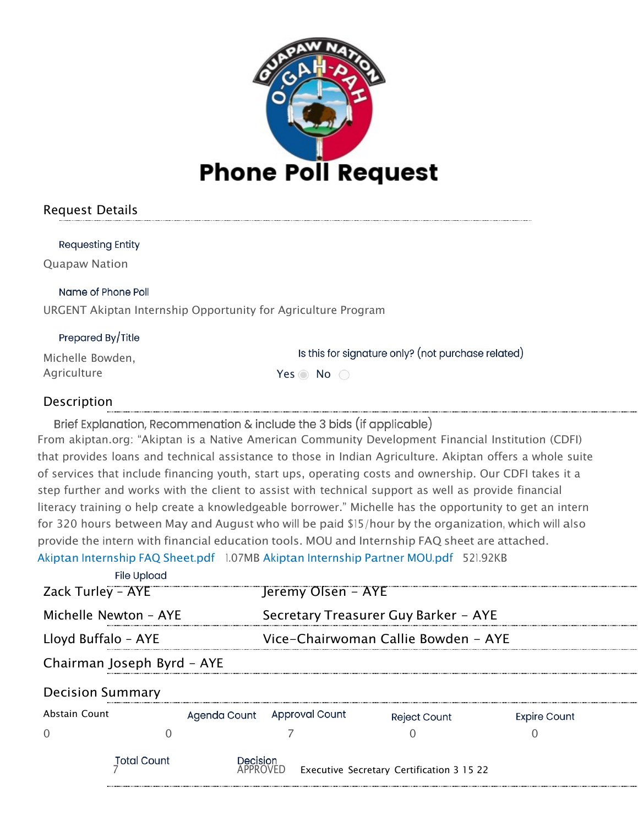

**Requesting Entity** 

Quapaw Nation

Name of Phone Poll

URGENT Akiptan Internship Opportunity for Agriculture Program

# Prepared By/Title

Michelle Bowden, Agriculture Yes No

Is this for signature only? (not purchase related)

# Description

Brief Explanation, Recommenation & include the 3 bids (if applicable) From akiptan.org: "Akiptan is a Native American Community Development Financial Institution (CDFI) that provides loans and technical assistance to those in Indian Agriculture. Akiptan offers a whole suite of services that include financing youth, start ups, operating costs and ownership. Our CDFI takes it a step further and works with the client to assist with technical support as well as provide financial literacy training o help create a knowledgeable borrower." Michelle has the opportunity to get an intern for 320 hours between May and August who will be paid \$15/hour by the organization, which will also provide the intern with financial education tools. MOU and Internship FAQ sheet are attached. Akiptan [Internship](https://okika.quapawnation.com/Forms/handlers/downloadattachment.ashx?req=DownLoad&aid=5331&authkey=6efa1a8d-bd70-4bb0-b6e9-363715196b34) FAQ Sheet.pdf 1.07MB Akiptan [Internship](https://okika.quapawnation.com/Forms/handlers/downloadattachment.ashx?req=DownLoad&aid=5332&authkey=6efa1a8d-bd70-4bb0-b6e9-363715196b34) Partner MOU.pdf 521.92KB

| <b>File Upload</b>         |          |                             |                                           |                     |  |
|----------------------------|----------|-----------------------------|-------------------------------------------|---------------------|--|
| Zack Turley - AYE          |          | Jeremy Olsen - AYE          |                                           |                     |  |
| Michelle Newton - AYE      |          |                             | Secretary Treasurer Guy Barker - AYE      |                     |  |
| Lloyd Buffalo - AYE        |          |                             | Vice-Chairwoman Callie Bowden - AYE       |                     |  |
| Chairman Joseph Byrd - AYE |          |                             |                                           |                     |  |
| <b>Decision Summary</b>    |          |                             |                                           |                     |  |
| <b>Abstain Count</b>       |          | Agenda Count Approval Count | <b>Reject Count</b>                       | <b>Expire Count</b> |  |
|                            |          |                             |                                           |                     |  |
| <b>Total Count</b>         | Decision | APPROVED.                   | Executive Secretary Certification 3 15 22 |                     |  |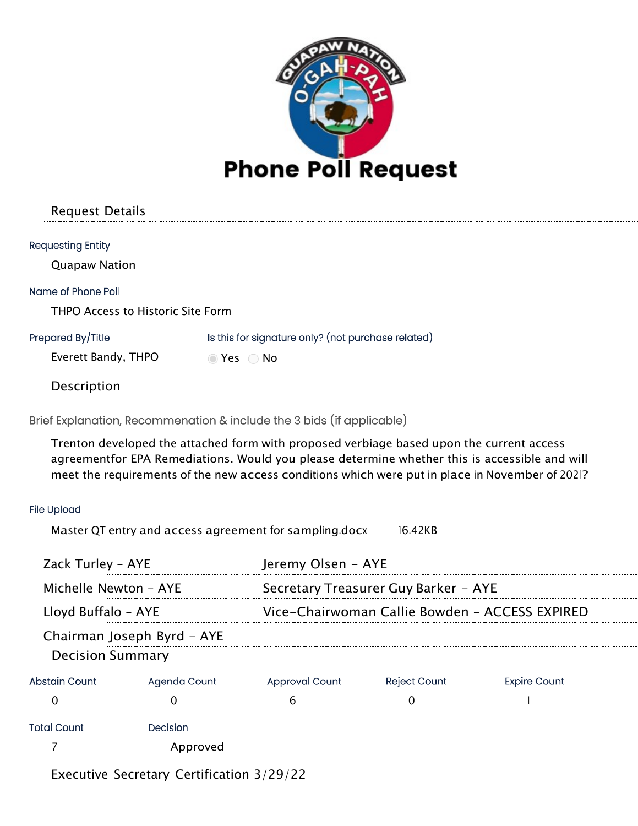

| <b>Requesting Entity</b>          |                                                    |
|-----------------------------------|----------------------------------------------------|
| <b>Quapaw Nation</b>              |                                                    |
| Name of Phone Poll                |                                                    |
| THPO Access to Historic Site Form |                                                    |
| Prepared By/Title                 | Is this for signature only? (not purchase related) |
| Everett Bandy, THPO               | $\odot$ Yes $\odot$ No                             |
| Description                       |                                                    |
|                                   |                                                    |

Brief Explanation, Recommenation & include the 3 bids (if applicable)

Trenton developed the attached form with proposed verbiage based upon the current access agreementfor EPA Remediations. Would you please determine whether this is accessible and will meet the requirements of the new access conditions which were put in place in November of 2021?

# **File Upload**

Master QT entry and access agreement for [sampling.docx](https://okika.quapawnation.com/Forms/handlers/downloadattachment.ashx?req=DownLoad&aid=6355&authkey=f2480897-0b8f-401a-93d8-63a3611472f3) 16.42KB

| Zack Turley - AYE       |                            | Jeremy Olsen - AYE                             |                                      |                     |  |
|-------------------------|----------------------------|------------------------------------------------|--------------------------------------|---------------------|--|
| Michelle Newton - AYE   |                            |                                                | Secretary Treasurer Guy Barker - AYE |                     |  |
| Lloyd Buffalo - AYE     |                            | Vice-Chairwoman Callie Bowden - ACCESS EXPIRED |                                      |                     |  |
| <b>Decision Summary</b> | Chairman Joseph Byrd - AYE |                                                |                                      |                     |  |
| Abstain Count           | Agenda Count               | <b>Approval Count</b>                          | <b>Reject Count</b>                  | <b>Expire Count</b> |  |
|                         |                            | h                                              |                                      |                     |  |
| <b>Total Count</b>      | Decision                   |                                                |                                      |                     |  |
|                         | Approved                   |                                                |                                      |                     |  |

Executive Secretary Certification 3/29/22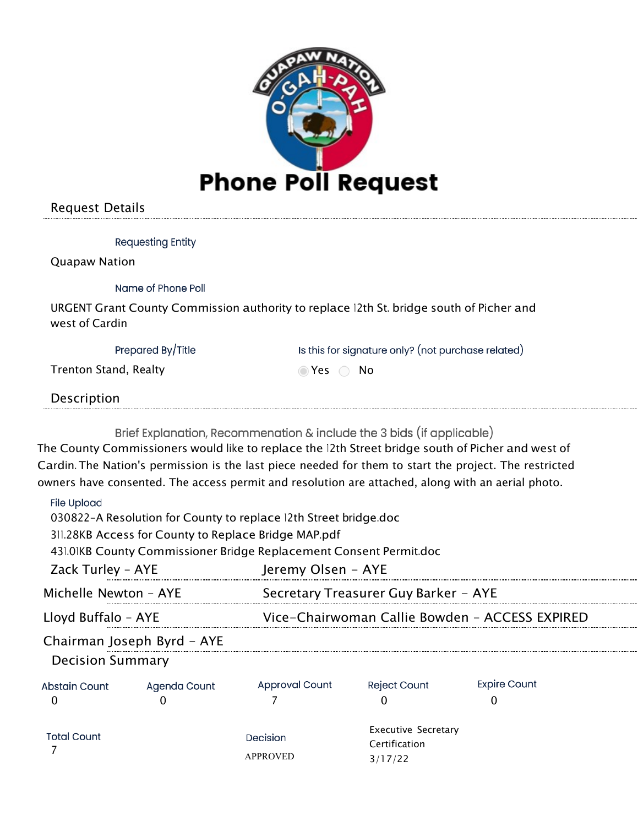

| <b>Requesting Entity</b>     |                                                                                         |
|------------------------------|-----------------------------------------------------------------------------------------|
| <b>Quapaw Nation</b>         |                                                                                         |
| Name of Phone Poll           |                                                                                         |
| west of Cardin               | URGENT Grant County Commission authority to replace 12th St. bridge south of Picher and |
| Prepared By/Title            | Is this for signature only? (not purchase related)                                      |
| <b>Trenton Stand, Realty</b> | Yes<br>- No                                                                             |
| Description                  |                                                                                         |

Brief Explanation, Recommenation & include the 3 bids (if applicable)

The County Commissioners would like to replace the 12th Street bridge south of Picher and west of Cardin. The Nation's permission is the last piece needed for them to start the project. The restricted owners have consented. The access permit and resolution are attached, along with an aerial photo.

# **File Upload**

030822-A Resolution for County to replace 12th Street [bridge.doc](https://okika.quapawnation.com/Forms/handlers/downloadattachment.ashx?req=DownLoad&aid=5320&authkey=4d671823-db8b-4581-876c-2098cf8eeb84) 

311.28KB Access for County to [Replace](https://okika.quapawnation.com/Forms/handlers/downloadattachment.ashx?req=DownLoad&aid=5321&authkey=4d671823-db8b-4581-876c-2098cf8eeb84) Bridge MAP.pdf

431.01KB County Commissioner Bridge [Replacement](https://okika.quapawnation.com/Forms/handlers/downloadattachment.ashx?req=DownLoad&aid=5322&authkey=4d671823-db8b-4581-876c-2098cf8eeb84) Consent Permit.doc

| Zack Turley - AYE       |                            | Jeremy Olsen - AYE          |                                                        |                                                |
|-------------------------|----------------------------|-----------------------------|--------------------------------------------------------|------------------------------------------------|
| Michelle Newton - AYE   |                            |                             | Secretary Treasurer Guy Barker - AYE                   |                                                |
| Lloyd Buffalo - AYE     |                            |                             |                                                        | Vice-Chairwoman Callie Bowden - ACCESS EXPIRED |
| <b>Decision Summary</b> | Chairman Joseph Byrd - AYE |                             |                                                        |                                                |
| Abstain Count           | Agenda Count               | <b>Approval Count</b>       | <b>Reject Count</b>                                    | <b>Expire Count</b>                            |
| <b>Total Count</b>      |                            | Decision<br><b>APPROVED</b> | <b>Executive Secretary</b><br>Certification<br>3/17/22 |                                                |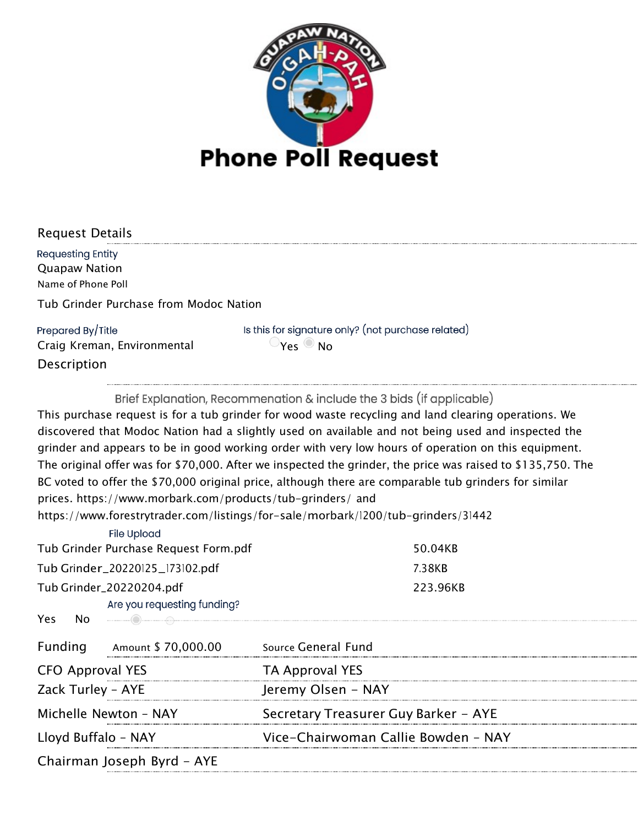

| <b>Request Details</b>                 |                                                    |
|----------------------------------------|----------------------------------------------------|
| <b>Requesting Entity</b>               |                                                    |
| <b>Quapaw Nation</b>                   |                                                    |
| Name of Phone Poll                     |                                                    |
| Tub Grinder Purchase from Modoc Nation |                                                    |
| Prepared By/Title                      | Is this for signature only? (not purchase related) |
| Craig Kreman, Environmental            | $\mathbf{v}_{\mathsf{ec}}$<br>⊍ Ν∩                 |
| Description                            |                                                    |
|                                        |                                                    |

Brief Explanation, Recommenation & include the 3 bids (if applicable) This purchase request is for a tub grinder for wood waste recycling and land clearing operations. We discovered that Modoc Nation had a slightly used on available and not being used and inspected the grinder and appears to be in good working order with very low hours of operation on this equipment. The original offer was for \$70,000. After we inspected the grinder, the price was raised to \$135,750. The BC voted to offer the \$70,000 original price, although there are comparable tub grinders for similar prices. https:/[/www.morbark.com/products/tub-grinders/](http://www.morbark.com/products/tub-grinders/) and

https:/[/www.forestrytrader.com/listings/for-s](http://www.forestrytrader.com/listings/for-)ale/morbark/1200/tub-grinders/31442

| <b>File Upload</b>                                                                                                                                                                                                                          |                                      |
|---------------------------------------------------------------------------------------------------------------------------------------------------------------------------------------------------------------------------------------------|--------------------------------------|
| Tub Grinder Purchase Request Form.pdf                                                                                                                                                                                                       | 50.04KB                              |
| Tub Grinder_20220125_173102.pdf                                                                                                                                                                                                             | 7.38KB                               |
| Tub Grinder_20220204.pdf                                                                                                                                                                                                                    | 223.96KB                             |
| Are you requesting funding?                                                                                                                                                                                                                 |                                      |
| <b>No</b> 2008. In the set of the set of the set of the set of the set of the set of the set of the set of the set of the set of the set of the set of the set of the set of the set of the set of the set of the set of the set of<br>Yes. |                                      |
| Funding<br>Amount \$ 70,000.00                                                                                                                                                                                                              | Source General Fund                  |
| <b>CFO Approval YES</b>                                                                                                                                                                                                                     | <b>TA Approval YES</b>               |
| Zack Turley - AYE                                                                                                                                                                                                                           | Jeremy Olsen - NAY                   |
| Michelle Newton - NAY                                                                                                                                                                                                                       | Secretary Treasurer Guy Barker - AYE |
| Lloyd Buffalo - NAY                                                                                                                                                                                                                         | Vice-Chairwoman Callie Bowden - NAY  |
| Chairman Joseph Byrd - AYE                                                                                                                                                                                                                  |                                      |
|                                                                                                                                                                                                                                             |                                      |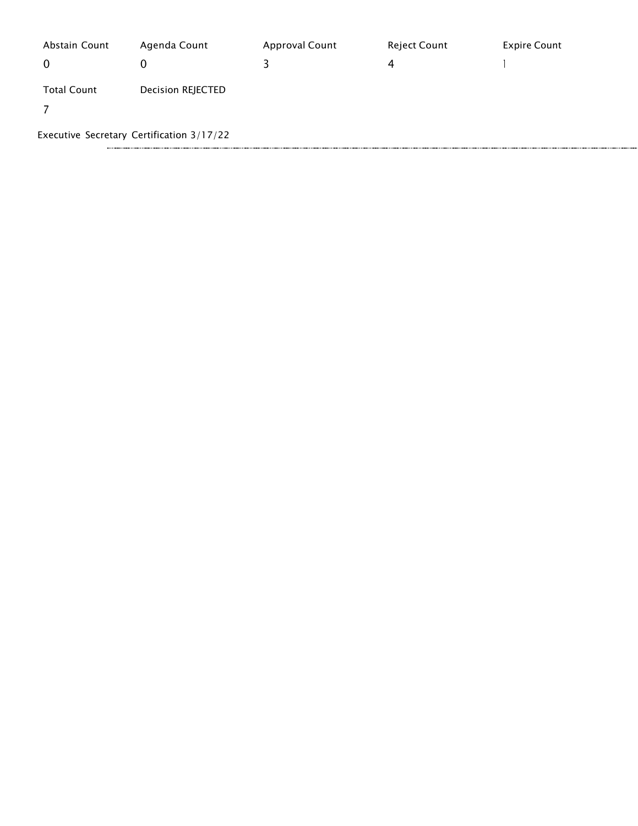| Abstain Count<br>0 | Agenda Count<br>O                         | <b>Approval Count</b> | Reject Count<br>4 | <b>Expire Count</b> |
|--------------------|-------------------------------------------|-----------------------|-------------------|---------------------|
| <b>Total Count</b> | Decision REJECTED                         |                       |                   |                     |
|                    | Executive Secretary Certification 3/17/22 |                       |                   |                     |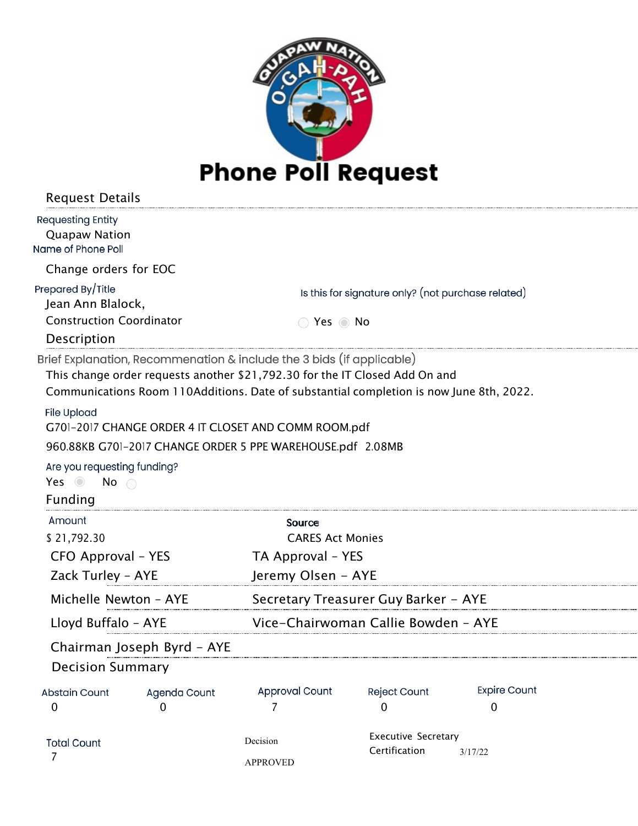

| <b>Request Details</b>                                                 |                            |                                                                                                                                                                                                                                                 |                                                    |                     |  |
|------------------------------------------------------------------------|----------------------------|-------------------------------------------------------------------------------------------------------------------------------------------------------------------------------------------------------------------------------------------------|----------------------------------------------------|---------------------|--|
| <b>Requesting Entity</b><br><b>Quapaw Nation</b><br>Name of Phone Poll |                            |                                                                                                                                                                                                                                                 |                                                    |                     |  |
| Change orders for EOC                                                  |                            |                                                                                                                                                                                                                                                 |                                                    |                     |  |
| Prepared By/Title<br>Jean Ann Blalock,                                 |                            |                                                                                                                                                                                                                                                 | Is this for signature only? (not purchase related) |                     |  |
| <b>Construction Coordinator</b><br>Description                         |                            | ◯ Yes ◎ No                                                                                                                                                                                                                                      |                                                    |                     |  |
|                                                                        |                            | Brief Explanation, Recommenation & include the 3 bids (if applicable)<br>This change order requests another \$21,792.30 for the IT Closed Add On and<br>Communications Room 110Additions. Date of substantial completion is now June 8th, 2022. |                                                    |                     |  |
| <b>File Upload</b>                                                     |                            | G701-2017 CHANGE ORDER 4 IT CLOSET AND COMM ROOM.pdf                                                                                                                                                                                            |                                                    |                     |  |
|                                                                        |                            | 960.88KB G701-2017 CHANGE ORDER 5 PPE WAREHOUSE.pdf 2.08MB                                                                                                                                                                                      |                                                    |                     |  |
| Are you requesting funding?<br>Yes $\odot$<br>No                       |                            |                                                                                                                                                                                                                                                 |                                                    |                     |  |
| Funding                                                                |                            |                                                                                                                                                                                                                                                 |                                                    |                     |  |
| Amount                                                                 |                            | Source                                                                                                                                                                                                                                          |                                                    |                     |  |
| \$21,792.30                                                            |                            | <b>CARES Act Monies</b>                                                                                                                                                                                                                         |                                                    |                     |  |
| CFO Approval – YES                                                     |                            | TA Approval - YES                                                                                                                                                                                                                               |                                                    |                     |  |
| Zack Turley - AYE                                                      |                            | Jeremy Olsen - AYE                                                                                                                                                                                                                              |                                                    |                     |  |
| Michelle Newton - AYE                                                  |                            | Secretary Treasurer Guy Barker - AYE                                                                                                                                                                                                            |                                                    |                     |  |
| Lloyd Buffalo - AYE                                                    |                            | Vice-Chairwoman Callie Bowden - AYE                                                                                                                                                                                                             |                                                    |                     |  |
|                                                                        | Chairman Joseph Byrd - AYE |                                                                                                                                                                                                                                                 |                                                    |                     |  |
| <b>Decision Summary</b>                                                |                            |                                                                                                                                                                                                                                                 |                                                    |                     |  |
| <b>Abstain Count</b>                                                   | Agenda Count               | <b>Approval Count</b>                                                                                                                                                                                                                           | <b>Reject Count</b>                                | <b>Expire Count</b> |  |
| $\mathbf 0$                                                            | 0                          | 7                                                                                                                                                                                                                                               | 0                                                  | 0                   |  |
| <b>Total Count</b>                                                     |                            | Decision                                                                                                                                                                                                                                        | <b>Executive Secretary</b>                         |                     |  |
| 7                                                                      |                            | <b>APPROVED</b>                                                                                                                                                                                                                                 | Certification                                      | 3/17/22             |  |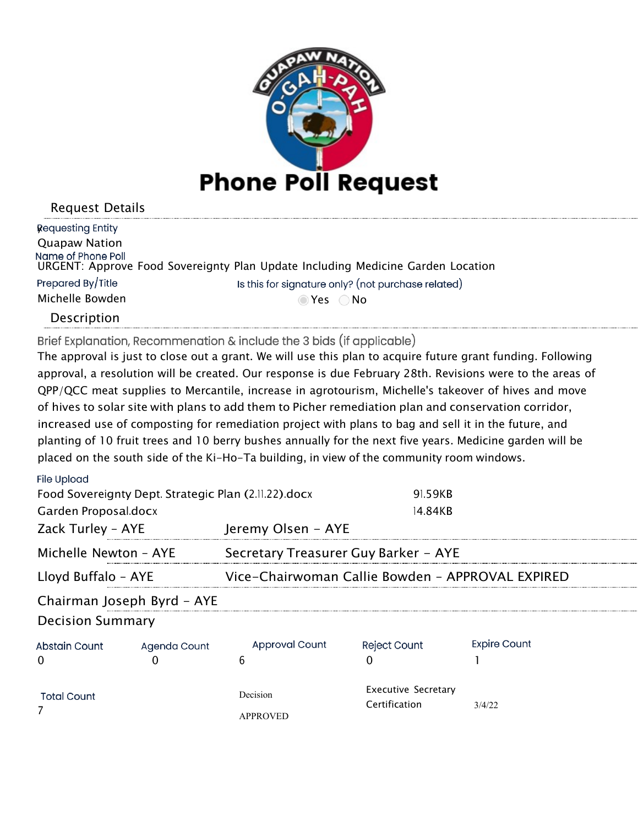

| Requesting Entity    |                                                                                 |
|----------------------|---------------------------------------------------------------------------------|
| <b>Quapaw Nation</b> |                                                                                 |
| Name of Phone Poll   | URGENT: Approve Food Sovereignty Plan Update Including Medicine Garden Location |
| Prepared By/Title    | Is this for signature only? (not purchase related)                              |
| Michelle Bowden      | ⊙Yes ○No                                                                        |
| <b>Deccription</b>   |                                                                                 |

Description

Brief Explanation, Recommenation & include the 3 bids (if applicable)

The approval is just to close out a grant. We will use this plan to acquire future grant funding. Following approval, a resolution will be created. Our response is due February 28th. Revisions were to the areas of QPP/QCC meat supplies to Mercantile, increase in agrotourism, Michelle's takeover of hives and move of hives to solar site with plans to add them to Picher remediation plan and conservation corridor, increased use of composting for remediation project with plans to bag and sell it in the future, and planting of 10 fruit trees and 10 berry bushes annually for the next five years. Medicine garden will be placed on the south side of the Ki-Ho-Ta building, in view of the community room windows.

| File Upload                                          |                            |                                                  |                                             |                     |  |
|------------------------------------------------------|----------------------------|--------------------------------------------------|---------------------------------------------|---------------------|--|
| Food Sovereignty Dept. Strategic Plan (2.11.22).docx |                            |                                                  | 91.59KB                                     |                     |  |
| Garden Proposal.docx                                 |                            |                                                  | 14.84KB                                     |                     |  |
| Zack Turley - AYE                                    |                            | Jeremy Olsen - AYE                               |                                             |                     |  |
| Michelle Newton - AYE                                |                            | Secretary Treasurer Guy Barker - AYE             |                                             |                     |  |
| Lloyd Buffalo - AYE                                  |                            | Vice-Chairwoman Callie Bowden - APPROVAL EXPIRED |                                             |                     |  |
|                                                      | Chairman Joseph Byrd - AYE |                                                  |                                             |                     |  |
| <b>Decision Summary</b>                              |                            |                                                  |                                             |                     |  |
| Abstain Count                                        | Agenda Count               | <b>Approval Count</b>                            | <b>Reject Count</b>                         | <b>Expire Count</b> |  |
| O                                                    |                            | 6                                                |                                             |                     |  |
| <b>Total Count</b>                                   |                            | Decision                                         | <b>Executive Secretary</b><br>Certification | 3/4/22              |  |
|                                                      |                            | <b>APPROVED</b>                                  |                                             |                     |  |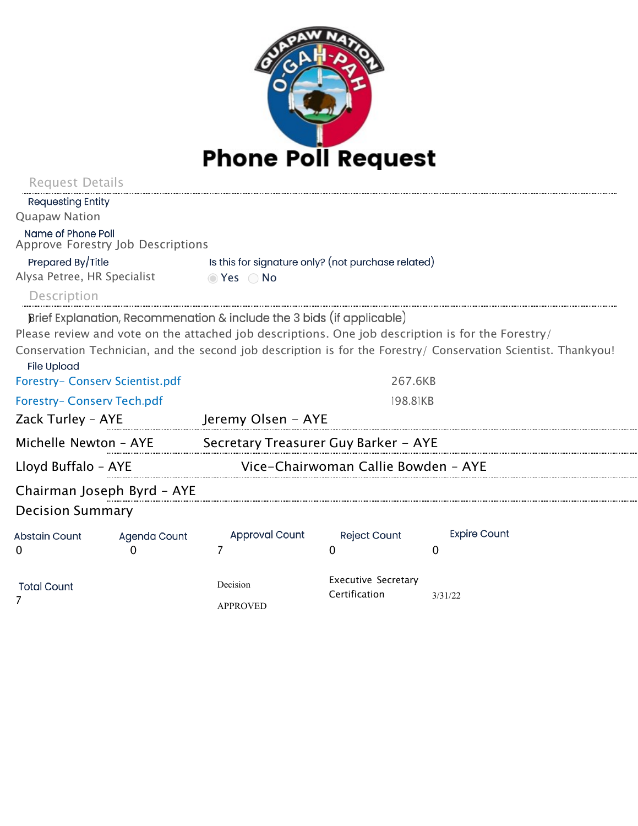

| Request Details                 |                                   |                                                                       |                                             |                                                                                                                |  |
|---------------------------------|-----------------------------------|-----------------------------------------------------------------------|---------------------------------------------|----------------------------------------------------------------------------------------------------------------|--|
| <b>Requesting Entity</b>        |                                   |                                                                       |                                             |                                                                                                                |  |
| <b>Quapaw Nation</b>            |                                   |                                                                       |                                             |                                                                                                                |  |
| Name of Phone Poll              | Approve Forestry Job Descriptions |                                                                       |                                             |                                                                                                                |  |
| Prepared By/Title               |                                   | Is this for signature only? (not purchase related)                    |                                             |                                                                                                                |  |
| Alysa Petree, HR Specialist     |                                   | ⊙ Yes ○ No                                                            |                                             |                                                                                                                |  |
| Description                     |                                   |                                                                       |                                             |                                                                                                                |  |
|                                 |                                   | Brief Explanation, Recommenation & include the 3 bids (if applicable) |                                             |                                                                                                                |  |
|                                 |                                   |                                                                       |                                             | Please review and vote on the attached job descriptions. One job description is for the Forestry/              |  |
| <b>File Upload</b>              |                                   |                                                                       |                                             | Conservation Technician, and the second job description is for the Forestry/ Conservation Scientist. Thankyou! |  |
| Forestry- Conserv Scientist.pdf |                                   |                                                                       | 267.6KB                                     |                                                                                                                |  |
| Forestry- Conserv Tech.pdf      |                                   |                                                                       | 198.81KB                                    |                                                                                                                |  |
| Zack Turley - AYE               |                                   | Jeremy Olsen - AYE                                                    |                                             |                                                                                                                |  |
|                                 |                                   | Michelle Newton - AYE Secretary Treasurer Guy Barker - AYE            |                                             |                                                                                                                |  |
| Lloyd Buffalo - AYE             |                                   | Vice-Chairwoman Callie Bowden - AYE                                   |                                             |                                                                                                                |  |
|                                 | Chairman Joseph Byrd - AYE        |                                                                       |                                             |                                                                                                                |  |
| <b>Decision Summary</b>         |                                   |                                                                       |                                             |                                                                                                                |  |
| <b>Abstain Count</b>            | Agenda Count                      | <b>Approval Count</b>                                                 | <b>Reject Count</b>                         | <b>Expire Count</b>                                                                                            |  |
| $\Omega$                        | 0                                 | 7                                                                     | $\Omega$                                    | 0                                                                                                              |  |
| <b>Total Count</b>              |                                   | Decision<br><b>APPROVED</b>                                           | <b>Executive Secretary</b><br>Certification | 3/31/22                                                                                                        |  |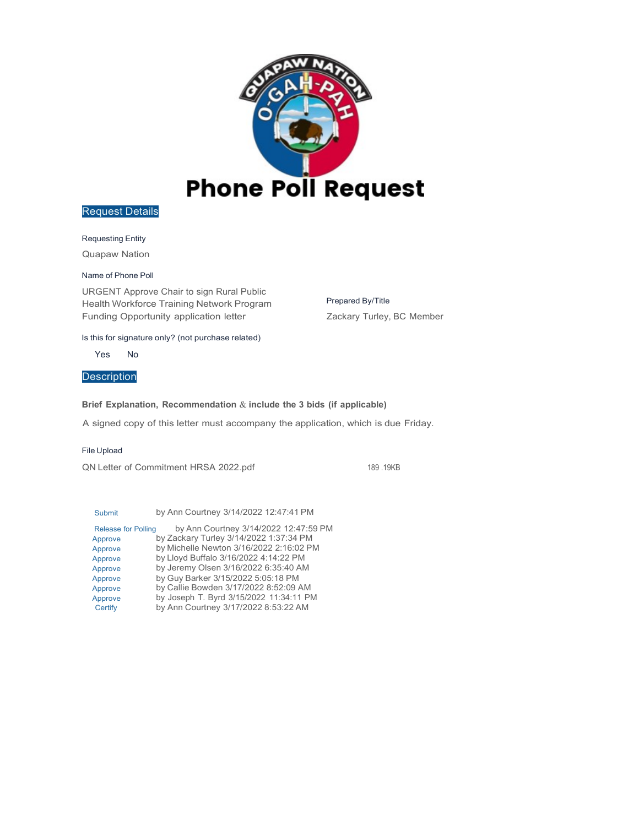

#### Requesting Entity

Quapaw Nation

#### Name of Phone Poll

URGENT Approve Chair to sign Rural Public Health Workforce Training Network Program Funding Opportunity application letter

#### Is this for signature only? (not purchase related)

Yes No

## **Description**

#### **Brief Explanation, Recommendation** & **include the 3 bids (if applicable)**

A signed copy of this letter must accompany the application, which is due Friday.

#### File Upload

QN Letter of Commitment HRSA 2022.pdf 189 .19KB

Prepared By/Title

Zackary Turley, BC Member

| by Ann Courtney 3/14/2022 12:47:41 PM                               |
|---------------------------------------------------------------------|
| by Ann Courtney 3/14/2022 12:47:59 PM<br><b>Release for Polling</b> |
| by Zackary Turley 3/14/2022 1:37:34 PM                              |
| by Michelle Newton 3/16/2022 2:16:02 PM                             |
| by Lloyd Buffalo 3/16/2022 4:14:22 PM                               |
| by Jeremy Olsen 3/16/2022 6:35:40 AM                                |
| by Guy Barker 3/15/2022 5:05:18 PM                                  |
| by Callie Bowden 3/17/2022 8:52:09 AM                               |
| by Joseph T. Byrd 3/15/2022 11:34:11 PM                             |
| by Ann Courtney 3/17/2022 8:53:22 AM                                |
|                                                                     |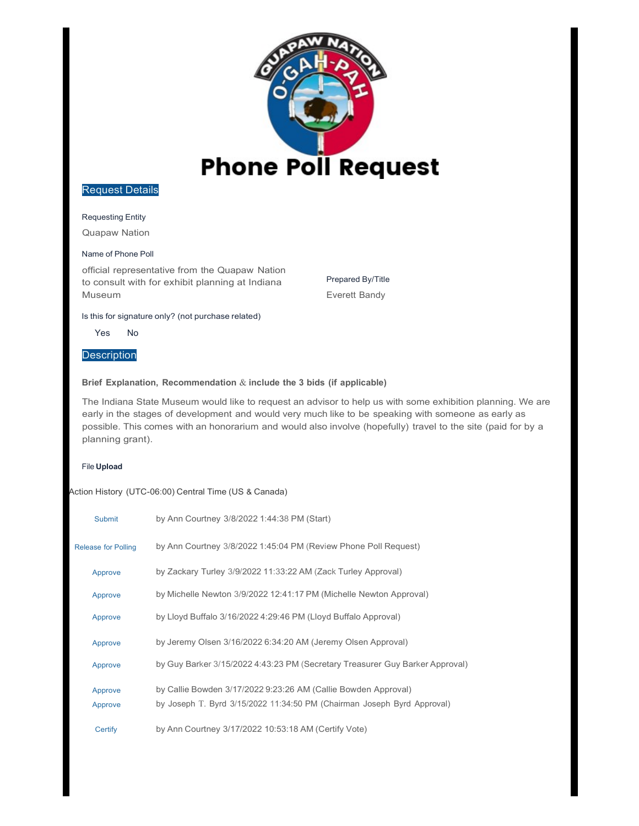

#### Requesting Entity

Quapaw Nation

#### Name of Phone Poll

official representative from the Quapaw Nation to consult with for exhibit planning at Indiana Museum

Prepared By/Title Everett Bandy

#### Is this for signature only? (not purchase related)

Yes No

#### **Description**

#### **Brief Explanation, Recommendation** & **include the 3 bids (if applicable)**

The Indiana State Museum would like to request an advisor to help us with some exhibition planning. We are early in the stages of development and would very much like to be speaking with someone as early as possible. This comes with an honorarium and would also involve (hopefully) travel to the site (paid for by a planning grant).

#### File **Upload**

| <b>Submit</b>              | by Ann Courtney 3/8/2022 1:44:38 PM (Start)                                                                                               |
|----------------------------|-------------------------------------------------------------------------------------------------------------------------------------------|
| <b>Release for Polling</b> | by Ann Courtney 3/8/2022 1:45:04 PM (Review Phone Poll Request)                                                                           |
| Approve                    | by Zackary Turley 3/9/2022 11:33:22 AM (Zack Turley Approval)                                                                             |
| Approve                    | by Michelle Newton 3/9/2022 12:41:17 PM (Michelle Newton Approval)                                                                        |
| Approve                    | by Lloyd Buffalo 3/16/2022 4:29:46 PM (Lloyd Buffalo Approval)                                                                            |
| Approve                    | by Jeremy Olsen 3/16/2022 6:34:20 AM (Jeremy Olsen Approval)                                                                              |
| Approve                    | by Guy Barker 3/15/2022 4:43:23 PM (Secretary Treasurer Guy Barker Approval)                                                              |
| Approve<br>Approve         | by Callie Bowden 3/17/2022 9:23:26 AM (Callie Bowden Approval)<br>by Joseph T. Byrd 3/15/2022 11:34:50 PM (Chairman Joseph Byrd Approval) |
| Certify                    | by Ann Courtney 3/17/2022 10:53:18 AM (Certify Vote)                                                                                      |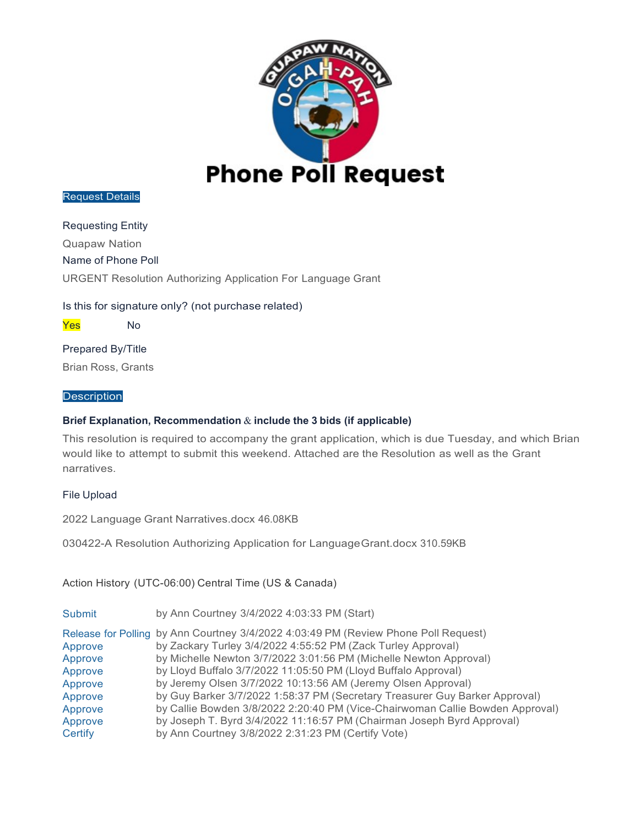

Requesting Entity Quapaw Nation Name of Phone Poll URGENT Resolution Authorizing Application For Language Grant

Is this for signature only? (not purchase related)

Yes No

Prepared By/Title Brian Ross, Grants

#### **Description**

### **Brief Explanation, Recommendation** & **include the 3 bids (if applicable)**

This resolution is required to accompany the grant application, which is due Tuesday, and which Brian would like to attempt to submit this weekend. Attached are the Resolution as well as the Grant narratives.

### File Upload

2022 Language Grant Narratives.docx 46.08KB

030422-A Resolution Authorizing Application for LanguageGrant.docx 310.59KB

| <b>Submit</b> | by Ann Courtney 3/4/2022 4:03:33 PM (Start)                                         |
|---------------|-------------------------------------------------------------------------------------|
|               | Release for Polling by Ann Courtney 3/4/2022 4:03:49 PM (Review Phone Poll Request) |
| Approve       | by Zackary Turley 3/4/2022 4:55:52 PM (Zack Turley Approval)                        |
| Approve       | by Michelle Newton 3/7/2022 3:01:56 PM (Michelle Newton Approval)                   |
| Approve       | by Lloyd Buffalo 3/7/2022 11:05:50 PM (Lloyd Buffalo Approval)                      |
| Approve       | by Jeremy Olsen 3/7/2022 10:13:56 AM (Jeremy Olsen Approval)                        |
| Approve       | by Guy Barker 3/7/2022 1:58:37 PM (Secretary Treasurer Guy Barker Approval)         |
| Approve       | by Callie Bowden 3/8/2022 2:20:40 PM (Vice-Chairwoman Callie Bowden Approval)       |
| Approve       | by Joseph T. Byrd 3/4/2022 11:16:57 PM (Chairman Joseph Byrd Approval)              |
| Certify       | by Ann Courtney 3/8/2022 2:31:23 PM (Certify Vote)                                  |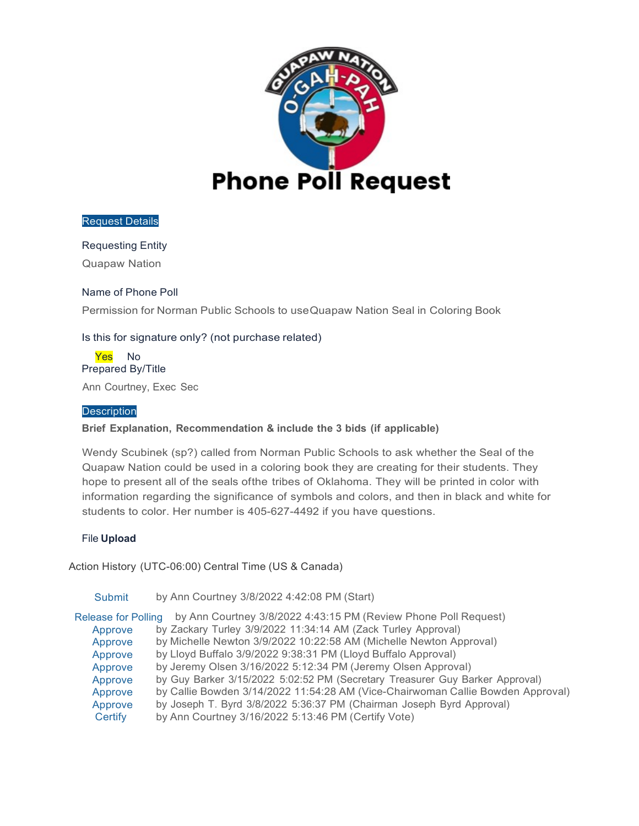

### Requesting Entity

Quapaw Nation

### Name of Phone Poll

Permission for Norman Public Schools to useQuapaw Nation Seal in Coloring Book

## Is this for signature only? (not purchase related)

Yes No Prepared By/Title

Ann Courtney, Exec Sec

#### **Description**

### **Brief Explanation, Recommendation & include the 3 bids (if applicable)**

Wendy Scubinek (sp?) called from Norman Public Schools to ask whether the Seal of the Quapaw Nation could be used in a coloring book they are creating for their students. They hope to present all of the seals ofthe tribes of Oklahoma. They will be printed in color with information regarding the significance of symbols and colors, and then in black and white for students to color. Her number is 405-627-4492 if you have questions.

### File **Upload**

| <b>Submit</b>              | by Ann Courtney 3/8/2022 4:42:08 PM (Start)                                     |
|----------------------------|---------------------------------------------------------------------------------|
| <b>Release for Polling</b> | by Ann Courtney 3/8/2022 4:43:15 PM (Review Phone Poll Request)                 |
| Approve                    | by Zackary Turley 3/9/2022 11:34:14 AM (Zack Turley Approval)                   |
| Approve                    | by Michelle Newton 3/9/2022 10:22:58 AM (Michelle Newton Approval)              |
| Approve                    | by Lloyd Buffalo 3/9/2022 9:38:31 PM (Lloyd Buffalo Approval)                   |
| Approve                    | by Jeremy Olsen 3/16/2022 5:12:34 PM (Jeremy Olsen Approval)                    |
| Approve                    | by Guy Barker 3/15/2022 5:02:52 PM (Secretary Treasurer Guy Barker Approval)    |
| Approve                    | by Callie Bowden 3/14/2022 11:54:28 AM (Vice-Chairwoman Callie Bowden Approval) |
| Approve                    | by Joseph T. Byrd 3/8/2022 5:36:37 PM (Chairman Joseph Byrd Approval)           |
| Certify                    | by Ann Courtney 3/16/2022 5:13:46 PM (Certify Vote)                             |
|                            |                                                                                 |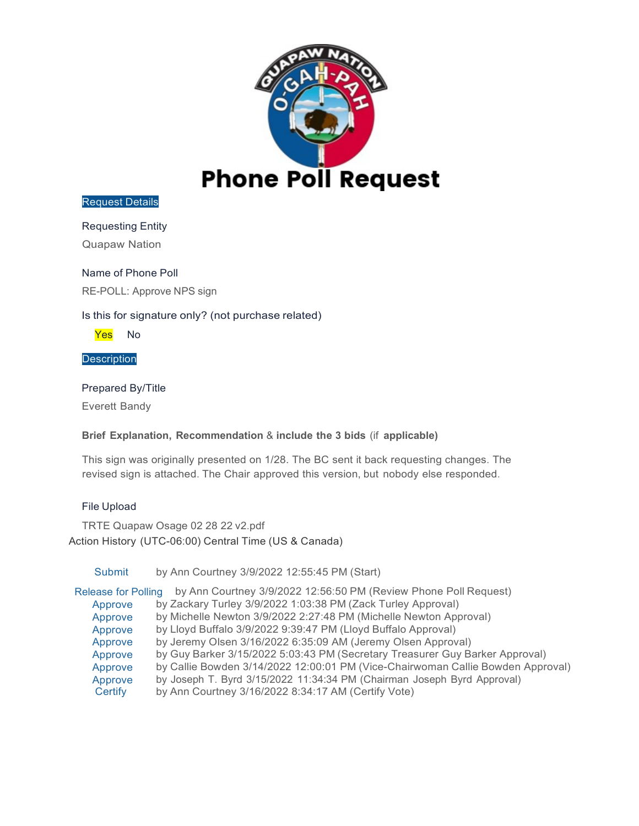

## Requesting Entity

Quapaw Nation

## Name of Phone Poll

RE-POLL: Approve NPS sign

## Is this for signature only? (not purchase related)

Yes No

**Description** 

## Prepared By/Title

Everett Bandy

### **Brief Explanation, Recommendation** & **include the 3 bids** (if **applicable)**

This sign was originally presented on 1/28. The BC sent it back requesting changes. The revised sign is attached. The Chair approved this version, but nobody else responded.

### File Upload

TRTE Quapaw Osage 02 28 22 v2.pdf Action History (UTC-06:00) Central Time (US & Canada)

Submit by Ann Courtney 3/9/2022 12:55:45 PM (Start)

Release for Polling by Ann Courtney 3/9/2022 12:56:50 PM (Review Phone Poll Request) Approve by Zackary Turley 3/9/2022 1:03:38 PM (Zack Turley Approval)

Approve by Michelle Newton 3/9/2022 2:27:48 PM (Michelle Newton Approval)

- Approve by Lloyd Buffalo 3/9/2022 9:39:47 PM (Lloyd Buffalo Approval)
- Approve by Jeremy Olsen 3/16/2022 6:35:09 AM (Jeremy Olsen Approval)<br>Approve by Guy Barker 3/15/2022 5:03:43 PM (Secretary Treasurer Guy Ba
- by Guy Barker 3/15/2022 5:03:43 PM (Secretary Treasurer Guy Barker Approval)
- Approve by Callie Bowden 3/14/2022 12:00:01 PM (Vice-Chairwoman Callie Bowden Approval)
- Approve by Joseph T. Byrd 3/15/2022 11:34:34 PM (Chairman Joseph Byrd Approval)
- Certify by Ann Courtney 3/16/2022 8:34:17 AM (Certify Vote)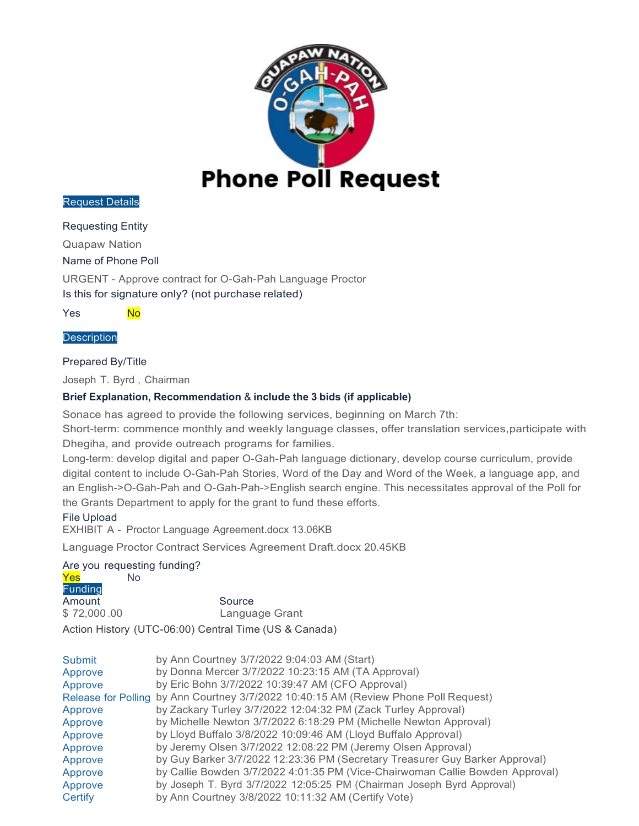

Requesting Entity

Quapaw Nation

Name of Phone Poll

URGENT - Approve contract for O-Gah-Pah Language Proctor

Is this for signature only? (not purchase related)

Yes No

#### **Description**

#### Prepared By/Title

Joseph T. Byrd , Chairman

### **Brief Explanation, Recommendation** & **include the 3 bids (if applicable)**

Sonace has agreed to provide the following services, beginning on March 7th:

Short-term: commence monthly and weekly language classes, offer translation services,participate with Dhegiha, and provide outreach programs for families.

Long-term: develop digital and paper O-Gah-Pah language dictionary, develop course curriculum, provide digital content to include O-Gah-Pah Stories, Word of the Day and Word of the Week, a language app, and an English->O-Gah-Pah and O-Gah-Pah->English search engine. This necessitates approval of the Poll for the Grants Department to apply for the grant to fund these efforts.

### File Upload

EXHIBIT A - Proctor Language Agreement.docx 13.06KB

Language Proctor Contract Services Agreement Draft.docx 20.45KB

### Are you requesting funding?

| Yes            | No.                                                   |
|----------------|-------------------------------------------------------|
| <b>Funding</b> |                                                       |
| Amount         | Source                                                |
| \$72,000.00    | Language Grant                                        |
|                | Action History (UTC-06:00) Central Time (US & Canada) |

| Submit  | by Ann Courtney 3/7/2022 9:04:03 AM (Start)                                          |
|---------|--------------------------------------------------------------------------------------|
| Approve | by Donna Mercer 3/7/2022 10:23:15 AM (TA Approval)                                   |
| Approve | by Eric Bohn 3/7/2022 10:39:47 AM (CFO Approval)                                     |
|         | Release for Polling by Ann Courtney 3/7/2022 10:40:15 AM (Review Phone Poll Request) |
| Approve | by Zackary Turley 3/7/2022 12:04:32 PM (Zack Turley Approval)                        |
| Approve | by Michelle Newton 3/7/2022 6:18:29 PM (Michelle Newton Approval)                    |
| Approve | by Lloyd Buffalo 3/8/2022 10:09:46 AM (Lloyd Buffalo Approval)                       |
| Approve | by Jeremy Olsen 3/7/2022 12:08:22 PM (Jeremy Olsen Approval)                         |
| Approve | by Guy Barker 3/7/2022 12:23:36 PM (Secretary Treasurer Guy Barker Approval)         |
| Approve | by Callie Bowden 3/7/2022 4:01:35 PM (Vice-Chairwoman Callie Bowden Approval)        |
| Approve | by Joseph T. Byrd 3/7/2022 12:05:25 PM (Chairman Joseph Byrd Approval)               |
| Certify | by Ann Courtney 3/8/2022 10:11:32 AM (Certify Vote)                                  |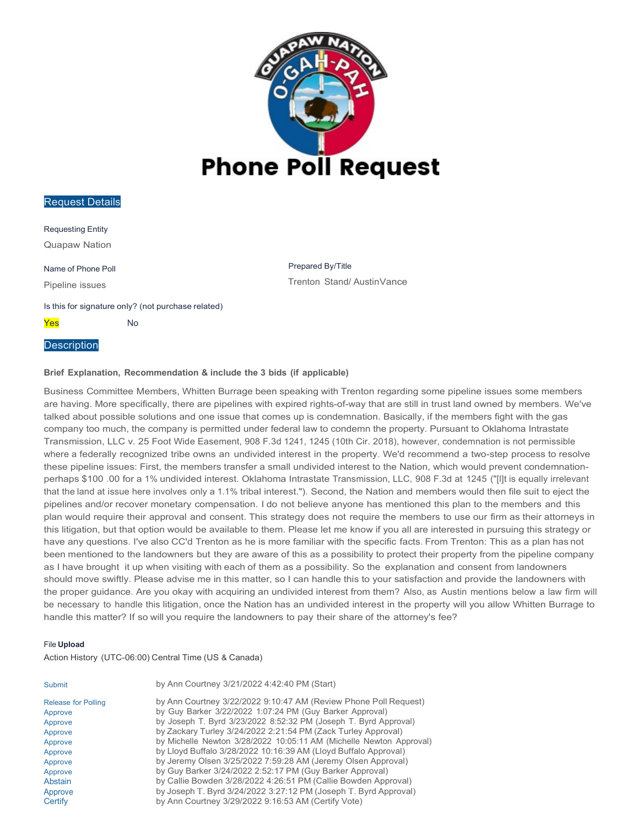

Requesting Entity Quapaw Nation

Name of Phone Poll

Pipeline issues

Prepared By/Title Trenton Stand/ AustinVance

Is this for signature only? (not purchase related)

**Yes** No

#### **Description**

#### **Brief Explanation, Recommendation & include the 3 bids (if applicable)**

Business Committee Members, Whitten Burrage been speaking with Trenton regarding some pipeline issues some members are having. More specifically, there are pipelines with expired rights-of-way that are still in trust land owned by members. We've talked about possible solutions and one issue that comes up is condemnation. Basically, if the members fight with the gas company too much, the company is permitted under federal law to condemn the property. Pursuant to Oklahoma Intrastate Transmission, LLC v. 25 Foot Wide Easement, 908 F.3d 1241, 1245 (10th Cir. 2018), however, condemnation is not permissible where a federally recognized tribe owns an undivided interest in the property. We'd recommend a two-step process to resolve these pipeline issues: First, the members transfer a small undivided interest to the Nation, which would prevent condemnationperhaps \$100 .00 for a 1% undivided interest. Oklahoma Intrastate Transmission, LLC, 908 F.3d at 1245 ("[l]t is equally irrelevant that the land at issue here involves only a 1.1% tribal interest."). Second, the Nation and members would then file suit to eject the pipelines and/or recover monetary compensation. I do not believe anyone has mentioned this plan to the members and this plan would require their approval and consent. This strategy does not require the members to use our firm as their attorneys in this litigation, but that option would be available to them. Please let me know if you all are interested in pursuing this strategy or have any questions. I've also CC'd Trenton as he is more familiar with the specific facts. From Trenton: This as a plan has not been mentioned to the landowners but they are aware of this as a possibility to protect their property from the pipeline company as I have brought it up when visiting with each of them as a possibility. So the explanation and consent from landowners should move swiftly. Please advise me in this matter, so I can handle this to your satisfaction and provide the landowners with the proper guidance. Are you okay with acquiring an undivided interest from them? Also, as Austin mentions below a law firm will be necessary to handle this litigation, once the Nation has an undivided interest in the property will you allow Whitten Burrage to handle this matter? If so will you require the landowners to pay their share of the attorney's fee?

#### File **Upload**

| by Ann Courtney 3/22/2022 9:10:47 AM (Review Phone Poll Request)    |
|---------------------------------------------------------------------|
|                                                                     |
| by Joseph T. Byrd 3/23/2022 8:52:32 PM (Joseph T. Byrd Approval)    |
|                                                                     |
| by Michelle Newton 3/28/2022 10:05:11 AM (Michelle Newton Approval) |
|                                                                     |
|                                                                     |
|                                                                     |
| by Callie Bowden 3/28/2022 4:26:51 PM (Callie Bowden Approval)      |
| by Joseph T. Byrd 3/24/2022 3:27:12 PM (Joseph T. Byrd Approval)    |
|                                                                     |
|                                                                     |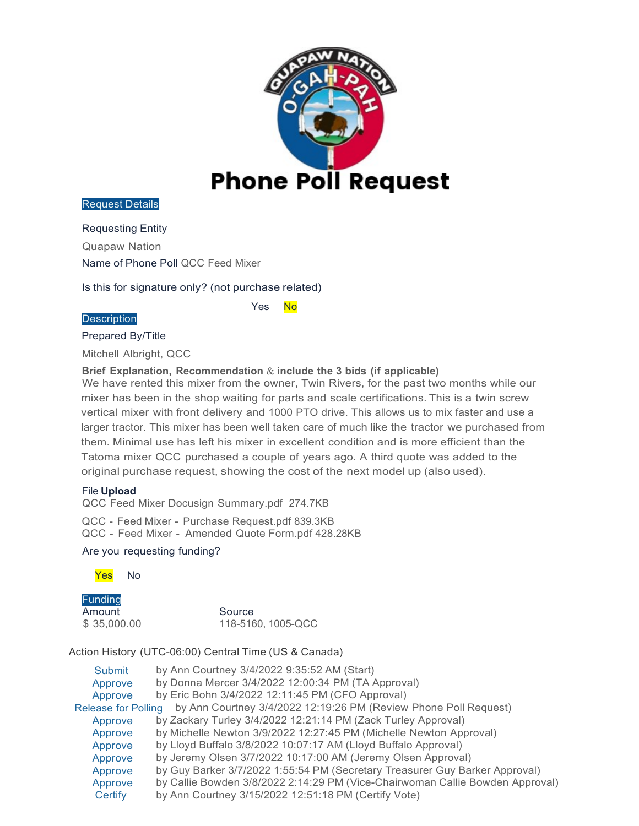

Requesting Entity

Quapaw Nation

Name of Phone Poll QCC Feed Mixer

Is this for signature only? (not purchase related)

#### **Description**

Yes No

Prepared By/Title

Mitchell Albright, QCC

**Brief Explanation, Recommendation** & **include the 3 bids (if applicable)**

We have rented this mixer from the owner, Twin Rivers, for the past two months while our mixer has been in the shop waiting for parts and scale certifications. This is a twin screw vertical mixer with front delivery and 1000 PTO drive. This allows us to mix faster and use a larger tractor. This mixer has been well taken care of much like the tractor we purchased from them. Minimal use has left his mixer in excellent condition and is more efficient than the Tatoma mixer QCC purchased a couple of years ago. A third quote was added to the original purchase request, showing the cost of the next model up (also used).

### File **Upload**

QCC Feed Mixer Docusign Summary.pdf 274.7KB

QCC - Feed Mixer - Purchase Request.pdf 839.3KB QCC - Feed Mixer - Amended Quote Form.pdf 428.28KB

## Are you requesting funding?



Funding Amount Source \$ 35,000.00 118-5160, 1005-QCC

| Submit                     | by Ann Courtney 3/4/2022 9:35:52 AM (Start)                                   |
|----------------------------|-------------------------------------------------------------------------------|
| Approve                    | by Donna Mercer 3/4/2022 12:00:34 PM (TA Approval)                            |
| Approve                    | by Eric Bohn 3/4/2022 12:11:45 PM (CFO Approval)                              |
| <b>Release for Polling</b> | by Ann Courtney 3/4/2022 12:19:26 PM (Review Phone Poll Request)              |
| Approve                    | by Zackary Turley 3/4/2022 12:21:14 PM (Zack Turley Approval)                 |
| Approve                    | by Michelle Newton 3/9/2022 12:27:45 PM (Michelle Newton Approval)            |
| Approve                    | by Lloyd Buffalo 3/8/2022 10:07:17 AM (Lloyd Buffalo Approval)                |
| Approve                    | by Jeremy Olsen 3/7/2022 10:17:00 AM (Jeremy Olsen Approval)                  |
| Approve                    | by Guy Barker 3/7/2022 1:55:54 PM (Secretary Treasurer Guy Barker Approval)   |
| Approve                    | by Callie Bowden 3/8/2022 2:14:29 PM (Vice-Chairwoman Callie Bowden Approval) |
| Certify                    | by Ann Courtney 3/15/2022 12:51:18 PM (Certify Vote)                          |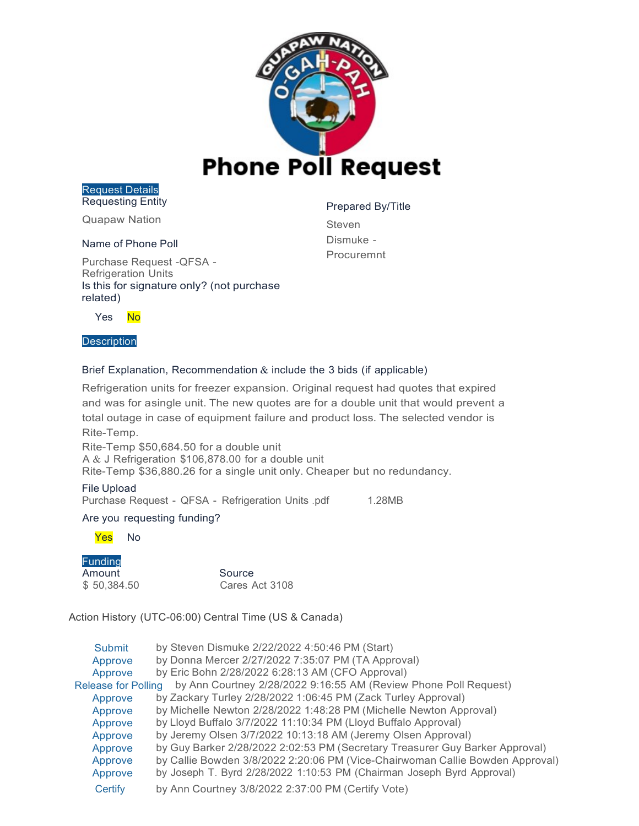

Request Details Requesting Entity

Quapaw Nation

#### Name of Phone Poll

Purchase Request -QFSA - Refrigeration Units Is this for signature only? (not purchase related)

Prepared By/Title

Steven Dismuke - Procuremnt

Yes No

#### **Description**

#### Brief Explanation, Recommendation  $\&$  include the 3 bids (if applicable)

Refrigeration units for freezer expansion. Original request had quotes that expired and was for asingle unit. The new quotes are for a double unit that would prevent a total outage in case of equipment failure and product loss. The selected vendor is Rite-Temp.

Rite-Temp \$50,684.50 for a double unit A & J Refrigeration \$106,878.00 for a double unit Rite-Temp \$36,880.26 for a single unit only. Cheaper but no redundancy.

File Upload Purchase Request - QFSA - Refrigeration Units .pdf 1.28MB

### Are you requesting funding?

Yes No

Funding Amount Source<br>
\$150,384.50 Cares A

Cares Act 3108

| Submit                     | by Steven Dismuke 2/22/2022 4:50:46 PM (Start)                                |
|----------------------------|-------------------------------------------------------------------------------|
| Approve                    | by Donna Mercer 2/27/2022 7:35:07 PM (TA Approval)                            |
| Approve                    | by Eric Bohn 2/28/2022 6:28:13 AM (CFO Approval)                              |
| <b>Release for Polling</b> | by Ann Courtney 2/28/2022 9:16:55 AM (Review Phone Poll Request)              |
| Approve                    | by Zackary Turley 2/28/2022 1:06:45 PM (Zack Turley Approval)                 |
| Approve                    | by Michelle Newton 2/28/2022 1:48:28 PM (Michelle Newton Approval)            |
| Approve                    | by Lloyd Buffalo 3/7/2022 11:10:34 PM (Lloyd Buffalo Approval)                |
| Approve                    | by Jeremy Olsen 3/7/2022 10:13:18 AM (Jeremy Olsen Approval)                  |
| Approve                    | by Guy Barker 2/28/2022 2:02:53 PM (Secretary Treasurer Guy Barker Approval)  |
| Approve                    | by Callie Bowden 3/8/2022 2:20:06 PM (Vice-Chairwoman Callie Bowden Approval) |
| Approve                    | by Joseph T. Byrd 2/28/2022 1:10:53 PM (Chairman Joseph Byrd Approval)        |
| Certify                    | by Ann Courtney 3/8/2022 2:37:00 PM (Certify Vote)                            |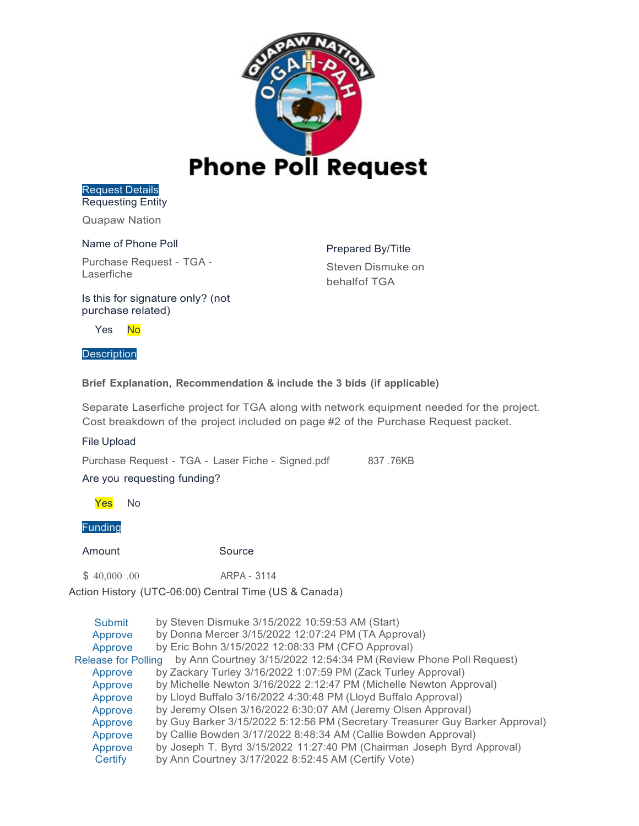

Request Details Requesting Entity

Quapaw Nation

#### Name of Phone Poll

Purchase Request - TGA - Laserfiche

Prepared By/Title Steven Dismuke on behalfof TGA

Is this for signature only? (not purchase related)

Yes No

#### **Description**

#### **Brief Explanation, Recommendation & include the 3 bids (if applicable)**

Separate Laserfiche project for TGA along with network equipment needed for the project. Cost breakdown of the project included on page #2 of the Purchase Request packet.

File Upload

Purchase Request - TGA - Laser Fiche - Signed.pdf 837.76KB

Are you requesting funding?

Yes No

Funding

Amount Source

\$ 40,000 .00 ARPA - 3114

| by Steven Dismuke 3/15/2022 10:59:53 AM (Start)                                                 |
|-------------------------------------------------------------------------------------------------|
| by Donna Mercer 3/15/2022 12:07:24 PM (TA Approval)                                             |
| by Eric Bohn 3/15/2022 12:08:33 PM (CFO Approval)                                               |
| by Ann Courtney 3/15/2022 12:54:34 PM (Review Phone Poll Request)<br><b>Release for Polling</b> |
| by Zackary Turley 3/16/2022 1:07:59 PM (Zack Turley Approval)                                   |
| by Michelle Newton 3/16/2022 2:12:47 PM (Michelle Newton Approval)                              |
| by Lloyd Buffalo 3/16/2022 4:30:48 PM (Lloyd Buffalo Approval)                                  |
| by Jeremy Olsen 3/16/2022 6:30:07 AM (Jeremy Olsen Approval)                                    |
| by Guy Barker 3/15/2022 5:12:56 PM (Secretary Treasurer Guy Barker Approval)                    |
| by Callie Bowden 3/17/2022 8:48:34 AM (Callie Bowden Approval)                                  |
| by Joseph T. Byrd 3/15/2022 11:27:40 PM (Chairman Joseph Byrd Approval)                         |
| by Ann Courtney 3/17/2022 8:52:45 AM (Certify Vote)                                             |
|                                                                                                 |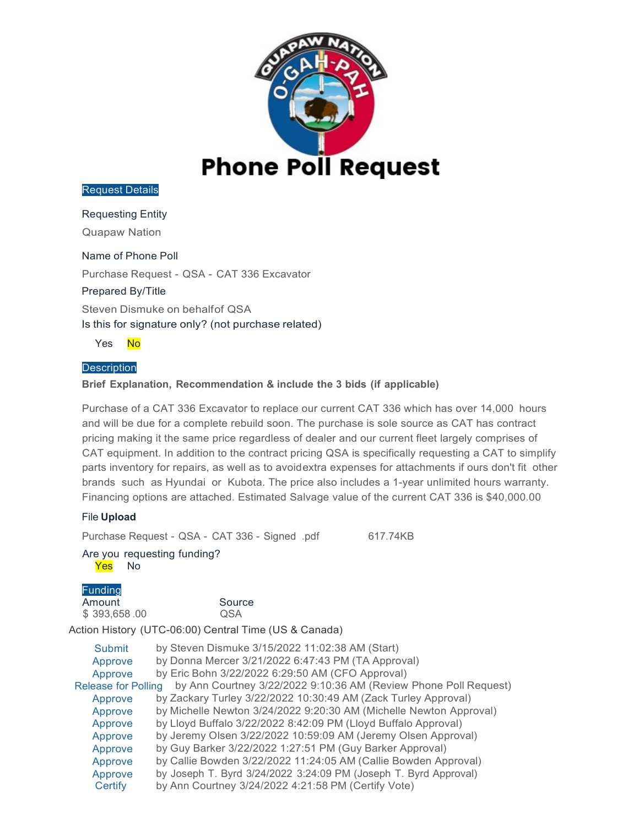

#### Requesting Entity

Quapaw Nation

### Name of Phone Poll

Purchase Request - QSA - CAT 336 Excavator

#### Prepared By/Title

Steven Dismuke on behalfof QSA Is this for signature only? (not purchase related)

Yes No

### **Description**

### **Brief Explanation, Recommendation & include the 3 bids (if applicable)**

Purchase of a CAT 336 Excavator to replace our current CAT 336 which has over 14,000 hours and will be due for a complete rebuild soon. The purchase is sole source as CAT has contract pricing making it the same price regardless of dealer and our current fleet largely comprises of CAT equipment. In addition to the contract pricing QSA is specifically requesting a CAT to simplify parts inventory for repairs, as well as to avoidextra expenses for attachments if ours don't fit other brands such as Hyundai or Kubota. The price also includes a 1-year unlimited hours warranty. Financing options are attached. Estimated Salvage value of the current CAT 336 is \$40,000.00

#### File **Upload**

Purchase Request - QSA - CAT 336 - Signed .pdf 617.74KB

#### Are you requesting funding? Yes No

# **Funding**

\$ 393,658 .00 QSA

Amount Source

| <b>Submit</b>              | by Steven Dismuke 3/15/2022 11:02:38 AM (Start)                    |
|----------------------------|--------------------------------------------------------------------|
| Approve                    | by Donna Mercer 3/21/2022 6:47:43 PM (TA Approval)                 |
| Approve                    | by Eric Bohn 3/22/2022 6:29:50 AM (CFO Approval)                   |
| <b>Release for Polling</b> | by Ann Courtney 3/22/2022 9:10:36 AM (Review Phone Poll Request)   |
| Approve                    | by Zackary Turley 3/22/2022 10:30:49 AM (Zack Turley Approval)     |
| Approve                    | by Michelle Newton 3/24/2022 9:20:30 AM (Michelle Newton Approval) |
| Approve                    | by Lloyd Buffalo 3/22/2022 8:42:09 PM (Lloyd Buffalo Approval)     |
| Approve                    | by Jeremy Olsen 3/22/2022 10:59:09 AM (Jeremy Olsen Approval)      |
| Approve                    | by Guy Barker 3/22/2022 1:27:51 PM (Guy Barker Approval)           |
| Approve                    | by Callie Bowden 3/22/2022 11:24:05 AM (Callie Bowden Approval)    |
| Approve                    | by Joseph T. Byrd 3/24/2022 3:24:09 PM (Joseph T. Byrd Approval)   |
| Certify                    | by Ann Courtney 3/24/2022 4:21:58 PM (Certify Vote)                |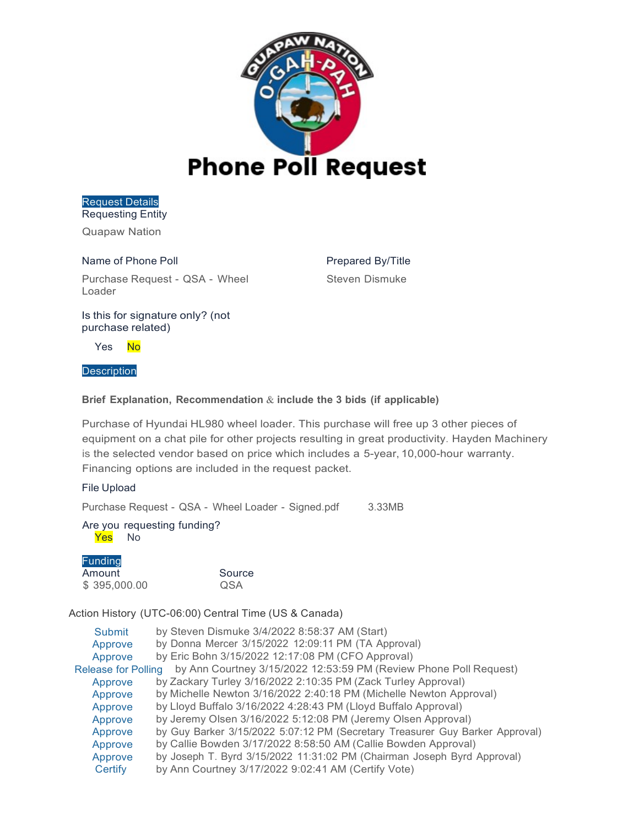

Request Details Requesting Entity

Quapaw Nation

Name of Phone Poll Purchase Request - QSA - Wheel Loader

Prepared By/Title Steven Dismuke

Is this for signature only? (not purchase related)

Yes No

#### **Description**

### **Brief Explanation, Recommendation** & **include the 3 bids (if applicable)**

Purchase of Hyundai HL980 wheel loader. This purchase will free up 3 other pieces of equipment on a chat pile for other projects resulting in great productivity. Hayden Machinery is the selected vendor based on price which includes a 5-year, 10,000-hour warranty. Financing options are included in the request packet.

### File Upload

Purchase Request - QSA - Wheel Loader - Signed.pdf 3.33MB

Are you requesting funding? Yes No

Funding

Amount Source<br>
\$395,000.00 QSA  $$395,000.00$ 

| Submit                     | by Steven Dismuke 3/4/2022 8:58:37 AM (Start)                                |
|----------------------------|------------------------------------------------------------------------------|
| Approve                    | by Donna Mercer 3/15/2022 12:09:11 PM (TA Approval)                          |
| Approve                    | by Eric Bohn 3/15/2022 12:17:08 PM (CFO Approval)                            |
| <b>Release for Polling</b> | by Ann Courtney 3/15/2022 12:53:59 PM (Review Phone Poll Request)            |
| Approve                    | by Zackary Turley 3/16/2022 2:10:35 PM (Zack Turley Approval)                |
| Approve                    | by Michelle Newton 3/16/2022 2:40:18 PM (Michelle Newton Approval)           |
| Approve                    | by Lloyd Buffalo 3/16/2022 4:28:43 PM (Lloyd Buffalo Approval)               |
| Approve                    | by Jeremy Olsen 3/16/2022 5:12:08 PM (Jeremy Olsen Approval)                 |
| Approve                    | by Guy Barker 3/15/2022 5:07:12 PM (Secretary Treasurer Guy Barker Approval) |
| Approve                    | by Callie Bowden 3/17/2022 8:58:50 AM (Callie Bowden Approval)               |
| Approve                    | by Joseph T. Byrd 3/15/2022 11:31:02 PM (Chairman Joseph Byrd Approval)      |
| Certify                    | by Ann Courtney 3/17/2022 9:02:41 AM (Certify Vote)                          |